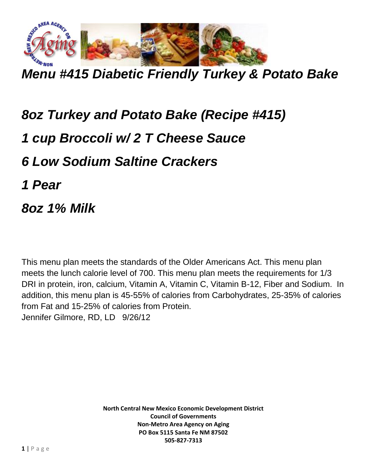

*Menu #415 Diabetic Friendly Turkey & Potato Bake*

## *8oz Turkey and Potato Bake (Recipe #415)*

## *1 cup Broccoli w/ 2 T Cheese Sauce*

*6 Low Sodium Saltine Crackers*

*1 Pear*

*8oz 1% Milk*

This menu plan meets the standards of the Older Americans Act. This menu plan meets the lunch calorie level of 700. This menu plan meets the requirements for 1/3 DRI in protein, iron, calcium, Vitamin A, Vitamin C, Vitamin B-12, Fiber and Sodium. In addition, this menu plan is 45-55% of calories from Carbohydrates, 25-35% of calories from Fat and 15-25% of calories from Protein. Jennifer Gilmore, RD, LD 9/26/12

> **North Central New Mexico Economic Development District Council of Governments Non-Metro Area Agency on Aging PO Box 5115 Santa Fe NM 87502 505-827-7313**